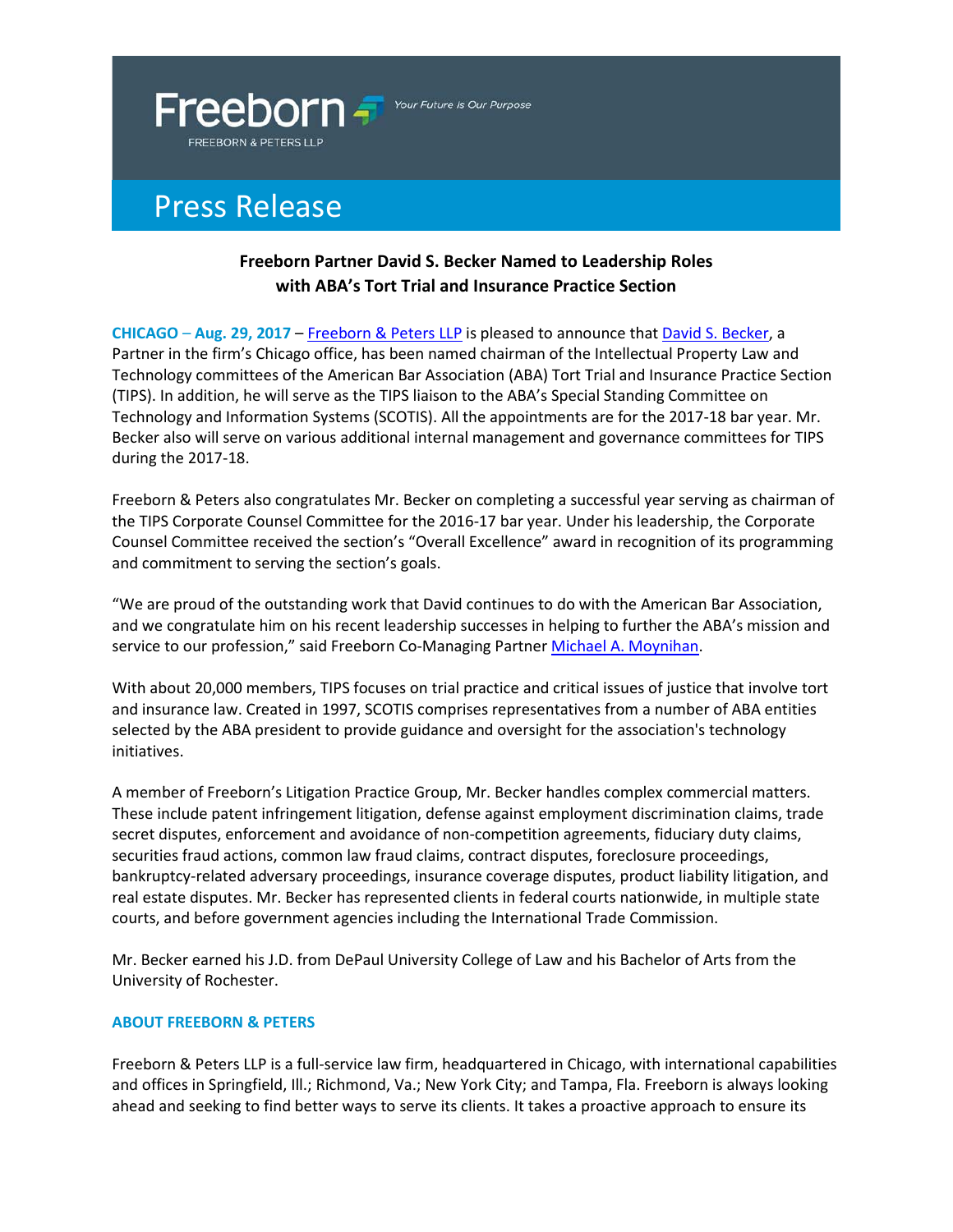

Your Future Is Our Purpose

## Press Release

## **Freeborn Partner David S. Becker Named to Leadership Roles with ABA's Tort Trial and Insurance Practice Section**

**CHICAGO** – **Aug. 29, 2017** – [Freeborn & Peters LLP](http://www.freeborn.com/) is pleased to announce that [David S. Becker,](https://www.freeborn.com/attorney/david-s-becker) a Partner in the firm's Chicago office, has been named chairman of the Intellectual Property Law and Technology committees of the American Bar Association (ABA) Tort Trial and Insurance Practice Section (TIPS). In addition, he will serve as the TIPS liaison to the ABA's Special Standing Committee on Technology and Information Systems (SCOTIS). All the appointments are for the 2017-18 bar year. Mr. Becker also will serve on various additional internal management and governance committees for TIPS during the 2017-18.

Freeborn & Peters also congratulates Mr. Becker on completing a successful year serving as chairman of the TIPS Corporate Counsel Committee for the 2016-17 bar year. Under his leadership, the Corporate Counsel Committee received the section's "Overall Excellence" award in recognition of its programming and commitment to serving the section's goals.

"We are proud of the outstanding work that David continues to do with the American Bar Association, and we congratulate him on his recent leadership successes in helping to further the ABA's mission and service to our profession," said Freeborn Co-Managing Partner [Michael A. Moynihan.](https://www.freeborn.com/attorney/michael-moynihan)

With about 20,000 members, TIPS focuses on trial practice and critical issues of justice that involve tort and insurance law. Created in 1997, SCOTIS comprises representatives from a number of ABA entities selected by the ABA president to provide guidance and oversight for the association's technology initiatives.

A member of Freeborn's Litigation Practice Group, Mr. Becker handles complex commercial matters. These include patent infringement litigation, defense against employment discrimination claims, trade secret disputes, enforcement and avoidance of non-competition agreements, fiduciary duty claims, securities fraud actions, common law fraud claims, contract disputes, foreclosure proceedings, bankruptcy-related adversary proceedings, insurance coverage disputes, product liability litigation, and real estate disputes. Mr. Becker has represented clients in federal courts nationwide, in multiple state courts, and before government agencies including the International Trade Commission.

Mr. Becker earned his J.D. from DePaul University College of Law and his Bachelor of Arts from the University of Rochester.

## **ABOUT FREEBORN & PETERS**

Freeborn & Peters LLP is a full-service law firm, headquartered in Chicago, with international capabilities and offices in Springfield, Ill.; Richmond, Va.; New York City; and Tampa, Fla. Freeborn is always looking ahead and seeking to find better ways to serve its clients. It takes a proactive approach to ensure its